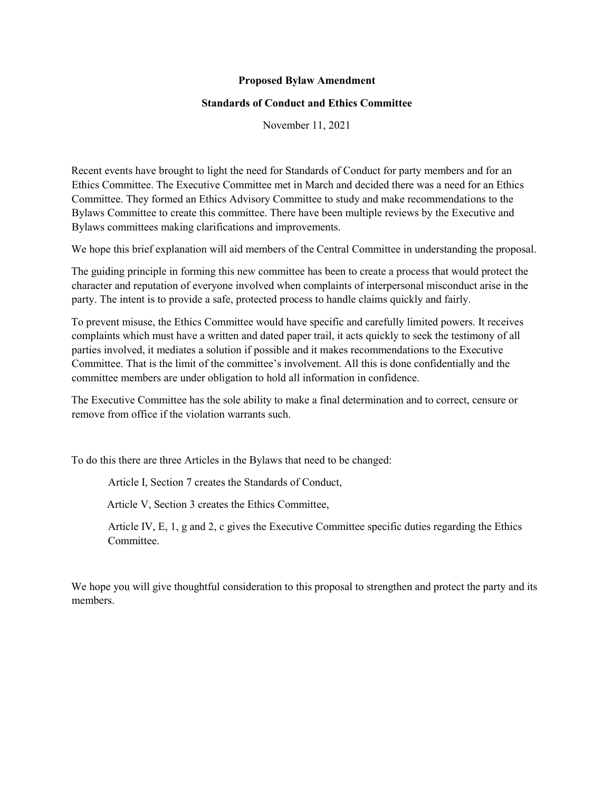#### Proposed Bylaw Amendment

#### Standards of Conduct and Ethics Committee

November 11, 2021

Recent events have brought to light the need for Standards of Conduct for party members and for an Ethics Committee. The Executive Committee met in March and decided there was a need for an Ethics Committee. They formed an Ethics Advisory Committee to study and make recommendations to the Bylaws Committee to create this committee. There have been multiple reviews by the Executive and Bylaws committees making clarifications and improvements.

We hope this brief explanation will aid members of the Central Committee in understanding the proposal.

The guiding principle in forming this new committee has been to create a process that would protect the character and reputation of everyone involved when complaints of interpersonal misconduct arise in the party. The intent is to provide a safe, protected process to handle claims quickly and fairly.

To prevent misuse, the Ethics Committee would have specific and carefully limited powers. It receives complaints which must have a written and dated paper trail, it acts quickly to seek the testimony of all parties involved, it mediates a solution if possible and it makes recommendations to the Executive Committee. That is the limit of the committee's involvement. All this is done confidentially and the committee members are under obligation to hold all information in confidence.

The Executive Committee has the sole ability to make a final determination and to correct, censure or remove from office if the violation warrants such.

To do this there are three Articles in the Bylaws that need to be changed:

Article I, Section 7 creates the Standards of Conduct,

Article V, Section 3 creates the Ethics Committee,

Article IV, E, 1, g and 2, c gives the Executive Committee specific duties regarding the Ethics **Committee** 

We hope you will give thoughtful consideration to this proposal to strengthen and protect the party and its members.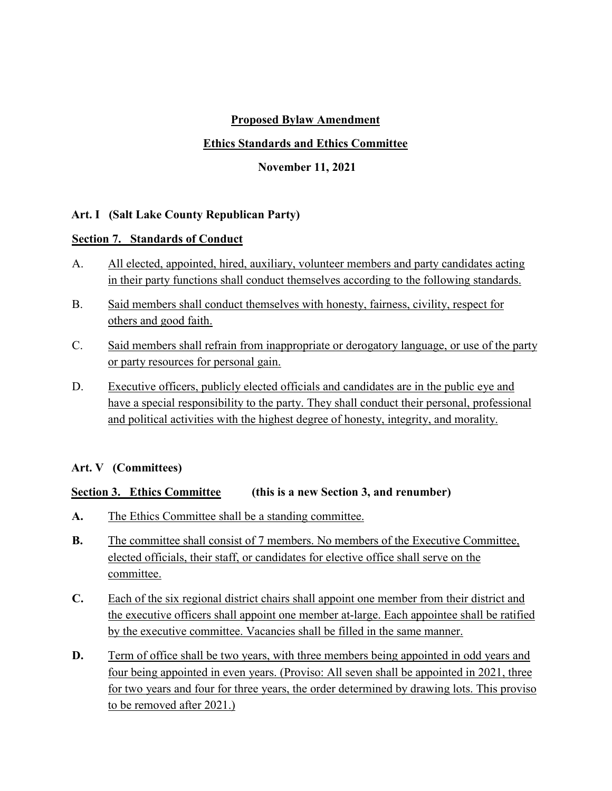# Proposed Bylaw Amendment

### Ethics Standards and Ethics Committee

November 11, 2021

## Art. I (Salt Lake County Republican Party)

### Section 7. Standards of Conduct

- A. All elected, appointed, hired, auxiliary, volunteer members and party candidates acting in their party functions shall conduct themselves according to the following standards.
- B. Said members shall conduct themselves with honesty, fairness, civility, respect for others and good faith.
- C. Said members shall refrain from inappropriate or derogatory language, or use of the party or party resources for personal gain.
- D. Executive officers, publicly elected officials and candidates are in the public eye and have a special responsibility to the party. They shall conduct their personal, professional and political activities with the highest degree of honesty, integrity, and morality.

### Art. V (Committees)

### Section 3. Ethics Committee (this is a new Section 3, and renumber)

- A. The Ethics Committee shall be a standing committee.
- B. The committee shall consist of 7 members. No members of the Executive Committee, elected officials, their staff, or candidates for elective office shall serve on the committee.
- C. Each of the six regional district chairs shall appoint one member from their district and the executive officers shall appoint one member at-large. Each appointee shall be ratified by the executive committee. Vacancies shall be filled in the same manner.
- D. Term of office shall be two years, with three members being appointed in odd years and four being appointed in even years. (Proviso: All seven shall be appointed in 2021, three for two years and four for three years, the order determined by drawing lots. This proviso to be removed after 2021.)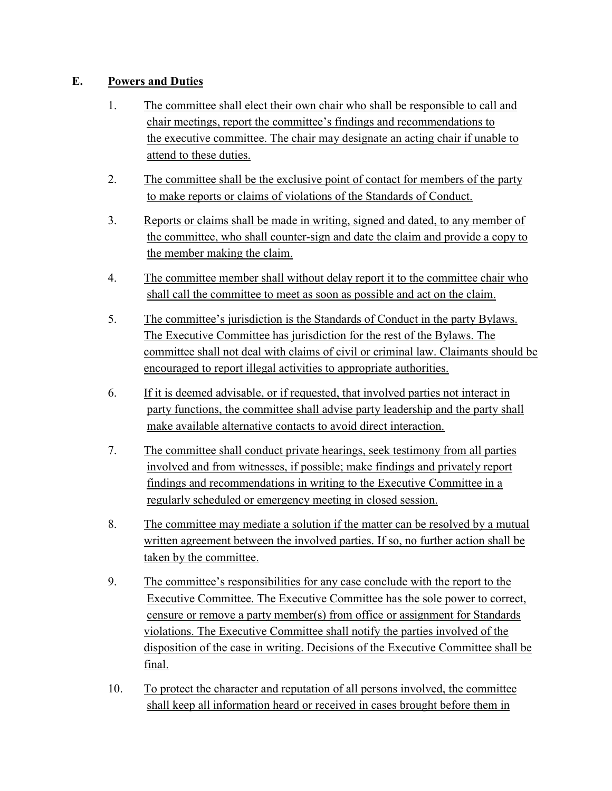# E. Powers and Duties

- 1. The committee shall elect their own chair who shall be responsible to call and chair meetings, report the committee's findings and recommendations to the executive committee. The chair may designate an acting chair if unable to attend to these duties.
- 2. The committee shall be the exclusive point of contact for members of the party to make reports or claims of violations of the Standards of Conduct.
- 3. Reports or claims shall be made in writing, signed and dated, to any member of the committee, who shall counter-sign and date the claim and provide a copy to the member making the claim.
- 4. The committee member shall without delay report it to the committee chair who shall call the committee to meet as soon as possible and act on the claim.
- 5. The committee's jurisdiction is the Standards of Conduct in the party Bylaws. The Executive Committee has jurisdiction for the rest of the Bylaws. The committee shall not deal with claims of civil or criminal law. Claimants should be encouraged to report illegal activities to appropriate authorities.
- 6. If it is deemed advisable, or if requested, that involved parties not interact in party functions, the committee shall advise party leadership and the party shall make available alternative contacts to avoid direct interaction.
- 7. The committee shall conduct private hearings, seek testimony from all parties involved and from witnesses, if possible; make findings and privately report findings and recommendations in writing to the Executive Committee in a regularly scheduled or emergency meeting in closed session.
- 8. The committee may mediate a solution if the matter can be resolved by a mutual written agreement between the involved parties. If so, no further action shall be taken by the committee.
- 9. The committee's responsibilities for any case conclude with the report to the Executive Committee. The Executive Committee has the sole power to correct, censure or remove a party member(s) from office or assignment for Standards violations. The Executive Committee shall notify the parties involved of the disposition of the case in writing. Decisions of the Executive Committee shall be final.
- 10. To protect the character and reputation of all persons involved, the committee shall keep all information heard or received in cases brought before them in